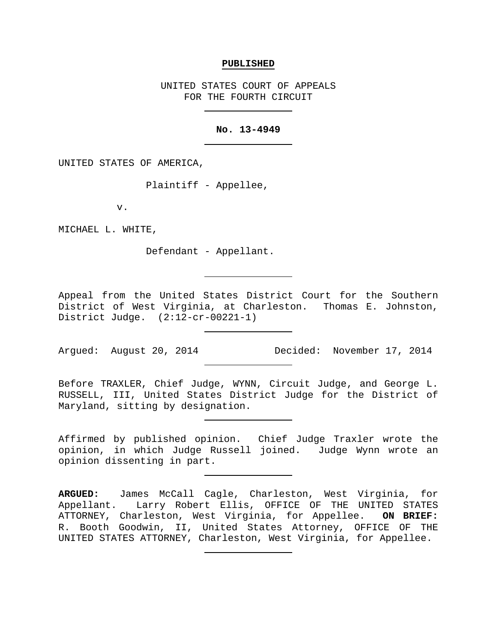#### **PUBLISHED**

UNITED STATES COURT OF APPEALS FOR THE FOURTH CIRCUIT

## **No. 13-4949**

UNITED STATES OF AMERICA,

Plaintiff - Appellee,

v.

MICHAEL L. WHITE,

Defendant - Appellant.

Appeal from the United States District Court for the Southern District of West Virginia, at Charleston. Thomas E. Johnston, District Judge. (2:12-cr-00221-1)

Argued: August 20, 2014 Decided: November 17, 2014

Before TRAXLER, Chief Judge, WYNN, Circuit Judge, and George L. RUSSELL, III, United States District Judge for the District of Maryland, sitting by designation.

Affirmed by published opinion. Chief Judge Traxler wrote the opinion, in which Judge Russell joined. Judge Wynn wrote an opinion dissenting in part.

**ARGUED:** James McCall Cagle, Charleston, West Virginia, for Appellant. Larry Robert Ellis, OFFICE OF THE UNITED STATES ATTORNEY, Charleston, West Virginia, for Appellee. **ON BRIEF:** R. Booth Goodwin, II, United States Attorney, OFFICE OF THE UNITED STATES ATTORNEY, Charleston, West Virginia, for Appellee.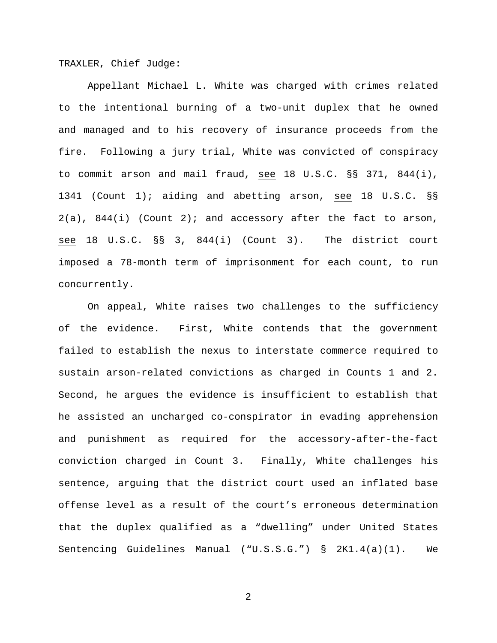TRAXLER, Chief Judge:

Appellant Michael L. White was charged with crimes related to the intentional burning of a two-unit duplex that he owned and managed and to his recovery of insurance proceeds from the fire. Following a jury trial, White was convicted of conspiracy to commit arson and mail fraud, see 18 U.S.C. §§ 371, 844(i), 1341 (Count 1); aiding and abetting arson, see 18 U.S.C. §§  $2(a)$ ,  $844(i)$  (Count 2); and accessory after the fact to arson, see 18 U.S.C. §§ 3, 844(i) (Count 3). The district court imposed a 78-month term of imprisonment for each count, to run concurrently.

On appeal, White raises two challenges to the sufficiency of the evidence. First, White contends that the government failed to establish the nexus to interstate commerce required to sustain arson-related convictions as charged in Counts 1 and 2. Second, he argues the evidence is insufficient to establish that he assisted an uncharged co-conspirator in evading apprehension and punishment as required for the accessory-after-the-fact conviction charged in Count 3. Finally, White challenges his sentence, arguing that the district court used an inflated base offense level as a result of the court's erroneous determination that the duplex qualified as a "dwelling" under United States Sentencing Guidelines Manual ("U.S.S.G.") § 2K1.4(a)(1). We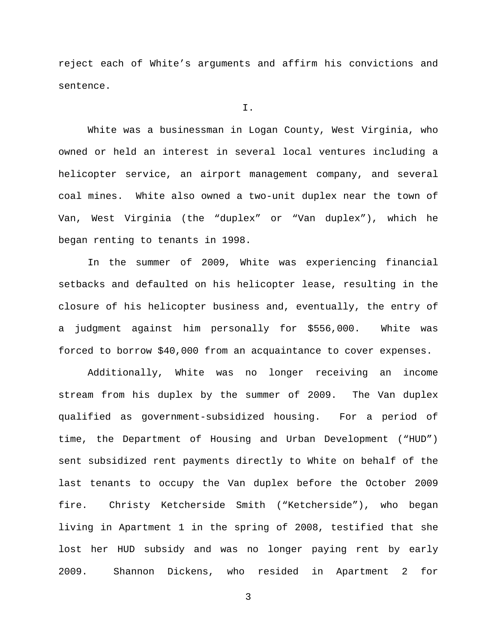reject each of White's arguments and affirm his convictions and sentence.

I.

White was a businessman in Logan County, West Virginia, who owned or held an interest in several local ventures including a helicopter service, an airport management company, and several coal mines. White also owned a two-unit duplex near the town of Van, West Virginia (the "duplex" or "Van duplex"), which he began renting to tenants in 1998.

In the summer of 2009, White was experiencing financial setbacks and defaulted on his helicopter lease, resulting in the closure of his helicopter business and, eventually, the entry of a judgment against him personally for \$556,000. White was forced to borrow \$40,000 from an acquaintance to cover expenses.

Additionally, White was no longer receiving an income stream from his duplex by the summer of 2009. The Van duplex qualified as government-subsidized housing. For a period of time, the Department of Housing and Urban Development ("HUD") sent subsidized rent payments directly to White on behalf of the last tenants to occupy the Van duplex before the October 2009 fire. Christy Ketcherside Smith ("Ketcherside"), who began living in Apartment 1 in the spring of 2008, testified that she lost her HUD subsidy and was no longer paying rent by early 2009. Shannon Dickens, who resided in Apartment 2 for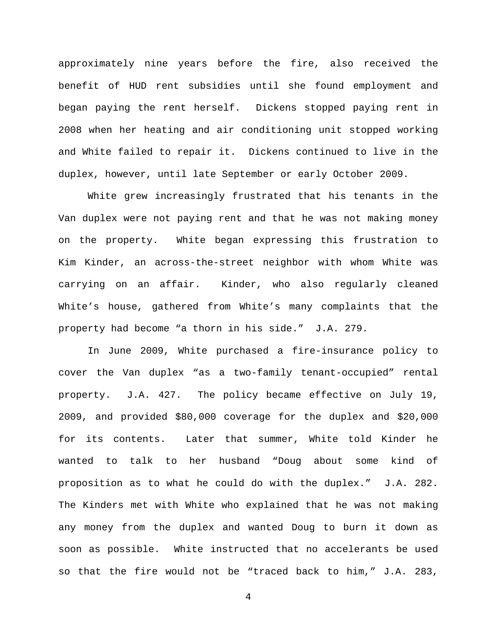approximately nine years before the fire, also received the benefit of HUD rent subsidies until she found employment and began paying the rent herself. Dickens stopped paying rent in 2008 when her heating and air conditioning unit stopped working and White failed to repair it. Dickens continued to live in the duplex, however, until late September or early October 2009.

White grew increasingly frustrated that his tenants in the Van duplex were not paying rent and that he was not making money on the property. White began expressing this frustration to Kim Kinder, an across-the-street neighbor with whom White was carrying on an affair. Kinder, who also regularly cleaned White's house, gathered from White's many complaints that the property had become "a thorn in his side." J.A. 279.

In June 2009, White purchased a fire-insurance policy to cover the Van duplex "as a two-family tenant-occupied" rental property. J.A. 427. The policy became effective on July 19, 2009, and provided \$80,000 coverage for the duplex and \$20,000 for its contents. Later that summer, White told Kinder he wanted to talk to her husband "Doug about some kind of proposition as to what he could do with the duplex." J.A. 282. The Kinders met with White who explained that he was not making any money from the duplex and wanted Doug to burn it down as soon as possible. White instructed that no accelerants be used so that the fire would not be "traced back to him," J.A. 283,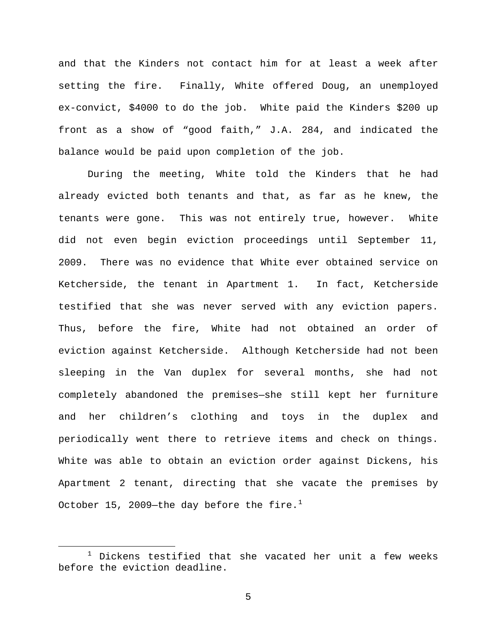and that the Kinders not contact him for at least a week after setting the fire. Finally, White offered Doug, an unemployed ex-convict, \$4000 to do the job. White paid the Kinders \$200 up front as a show of "good faith," J.A. 284, and indicated the balance would be paid upon completion of the job.

During the meeting, White told the Kinders that he had already evicted both tenants and that, as far as he knew, the tenants were gone. This was not entirely true, however. White did not even begin eviction proceedings until September 11, 2009. There was no evidence that White ever obtained service on Ketcherside, the tenant in Apartment 1. In fact, Ketcherside testified that she was never served with any eviction papers. Thus, before the fire, White had not obtained an order of eviction against Ketcherside. Although Ketcherside had not been sleeping in the Van duplex for several months, she had not completely abandoned the premises—she still kept her furniture and her children's clothing and toys in the duplex and periodically went there to retrieve items and check on things. White was able to obtain an eviction order against Dickens, his Apartment 2 tenant, directing that she vacate the premises by October [1](#page-4-0)5, 2009—the day before the fire. $^1$ 

<span id="page-4-0"></span> $1$  Dickens testified that she vacated her unit a few weeks before the eviction deadline.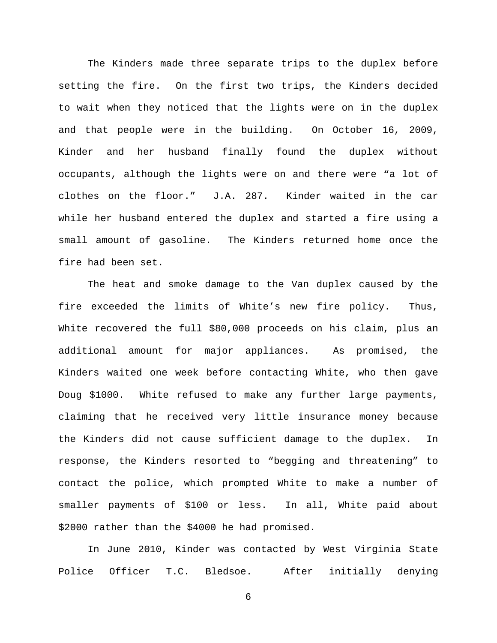The Kinders made three separate trips to the duplex before setting the fire. On the first two trips, the Kinders decided to wait when they noticed that the lights were on in the duplex and that people were in the building. On October 16, 2009, Kinder and her husband finally found the duplex without occupants, although the lights were on and there were "a lot of clothes on the floor." J.A. 287. Kinder waited in the car while her husband entered the duplex and started a fire using a small amount of gasoline. The Kinders returned home once the fire had been set.

The heat and smoke damage to the Van duplex caused by the fire exceeded the limits of White's new fire policy. Thus, White recovered the full \$80,000 proceeds on his claim, plus an additional amount for major appliances. As promised, the Kinders waited one week before contacting White, who then gave Doug \$1000. White refused to make any further large payments, claiming that he received very little insurance money because the Kinders did not cause sufficient damage to the duplex. In response, the Kinders resorted to "begging and threatening" to contact the police, which prompted White to make a number of smaller payments of \$100 or less. In all, White paid about \$2000 rather than the \$4000 he had promised.

In June 2010, Kinder was contacted by West Virginia State Police Officer T.C. Bledsoe. After initially denying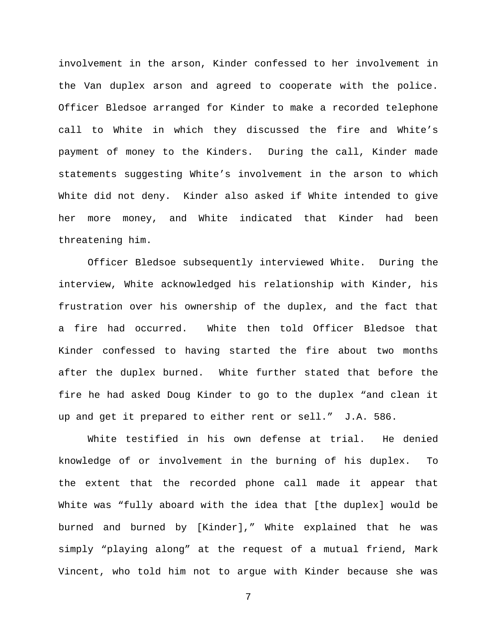involvement in the arson, Kinder confessed to her involvement in the Van duplex arson and agreed to cooperate with the police. Officer Bledsoe arranged for Kinder to make a recorded telephone call to White in which they discussed the fire and White's payment of money to the Kinders. During the call, Kinder made statements suggesting White's involvement in the arson to which White did not deny. Kinder also asked if White intended to give her more money, and White indicated that Kinder had been threatening him.

Officer Bledsoe subsequently interviewed White. During the interview, White acknowledged his relationship with Kinder, his frustration over his ownership of the duplex, and the fact that a fire had occurred. White then told Officer Bledsoe that Kinder confessed to having started the fire about two months after the duplex burned. White further stated that before the fire he had asked Doug Kinder to go to the duplex "and clean it up and get it prepared to either rent or sell." J.A. 586.

White testified in his own defense at trial. He denied knowledge of or involvement in the burning of his duplex. To the extent that the recorded phone call made it appear that White was "fully aboard with the idea that [the duplex] would be burned and burned by [Kinder]," White explained that he was simply "playing along" at the request of a mutual friend, Mark Vincent, who told him not to argue with Kinder because she was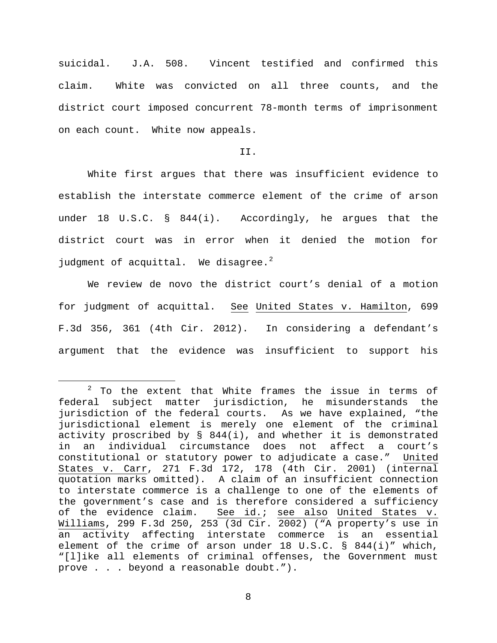suicidal. J.A. 508. Vincent testified and confirmed this claim. White was convicted on all three counts, and the district court imposed concurrent 78-month terms of imprisonment on each count. White now appeals.

### II.

White first argues that there was insufficient evidence to establish the interstate commerce element of the crime of arson under 18 U.S.C. § 844(i). Accordingly, he argues that the district court was in error when it denied the motion for judgment of acquittal. We disagree. $^2$  $^2$ 

We review de novo the district court's denial of a motion for judgment of acquittal. See United States v. Hamilton, 699 F.3d 356, 361 (4th Cir. 2012). In considering a defendant's argument that the evidence was insufficient to support his

<span id="page-7-0"></span> $2$  To the extent that White frames the issue in terms of federal subject matter jurisdiction, he misunderstands the jurisdiction of the federal courts. As we have explained, "the jurisdictional element is merely one element of the criminal activity proscribed by § 844(i), and whether it is demonstrated in an individual circumstance does not affect a court's constitutional or statutory power to adjudicate a case." United States v. Carr, 271 F.3d 172, 178 (4th Cir. 2001) (internal quotation marks omitted). A claim of an insufficient connection to interstate commerce is a challenge to one of the elements of the government's case and is therefore considered a sufficiency of the evidence claim. See id.; see also United States v. Williams, 299 F.3d 250, 253 (3d Cir. 2002) ("A property's use in an activity affecting interstate commerce is an essential element of the crime of arson under 18 U.S.C. § 844(i)" which, "[l]ike all elements of criminal offenses, the Government must prove . . . beyond a reasonable doubt.").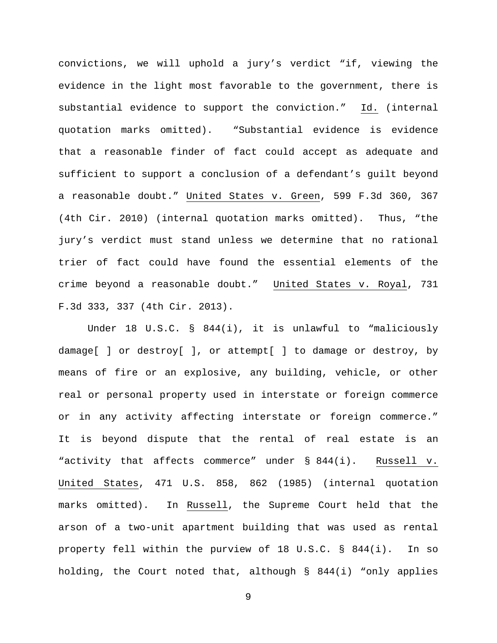convictions, we will uphold a jury's verdict "if, viewing the evidence in the light most favorable to the government, there is substantial evidence to support the conviction." Id. (internal quotation marks omitted). "Substantial evidence is evidence that a reasonable finder of fact could accept as adequate and sufficient to support a conclusion of a defendant's guilt beyond a reasonable doubt." United States v. Green, 599 F.3d 360, 367 (4th Cir. 2010) (internal quotation marks omitted). Thus, "the jury's verdict must stand unless we determine that no rational trier of fact could have found the essential elements of the crime beyond a reasonable doubt." United States v. Royal, 731 F.3d 333, 337 (4th Cir. 2013).

Under 18 U.S.C. § 844(i), it is unlawful to "maliciously damage[ ] or destroy[ ], or attempt[ ] to damage or destroy, by means of fire or an explosive, any building, vehicle, or other real or personal property used in interstate or foreign commerce or in any activity affecting interstate or foreign commerce." It is beyond dispute that the rental of real estate is an "activity that affects commerce" under § 844(i). Russell v. United States, 471 U.S. 858, 862 (1985) (internal quotation marks omitted). In Russell, the Supreme Court held that the arson of a two-unit apartment building that was used as rental property fell within the purview of 18 U.S.C. § 844(i). In so holding, the Court noted that, although § 844(i) "only applies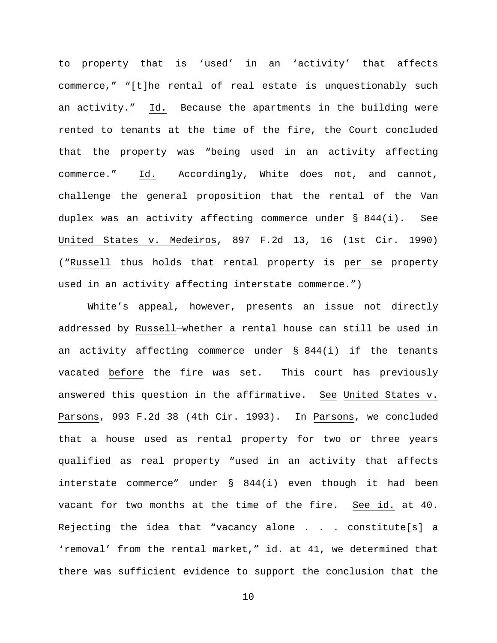to property that is 'used' in an 'activity' that affects commerce," "[t]he rental of real estate is unquestionably such an activity." Id. Because the apartments in the building were rented to tenants at the time of the fire, the Court concluded that the property was "being used in an activity affecting commerce." Id. Accordingly, White does not, and cannot, challenge the general proposition that the rental of the Van duplex was an activity affecting commerce under § 844(i). See United States v. Medeiros, 897 F.2d 13, 16 (1st Cir. 1990) ("Russell thus holds that rental property is per se property used in an activity affecting interstate commerce.")

White's appeal, however, presents an issue not directly addressed by Russell—whether a rental house can still be used in an activity affecting commerce under § 844(i) if the tenants vacated before the fire was set. This court has previously answered this question in the affirmative. See United States v. Parsons, 993 F.2d 38 (4th Cir. 1993). In Parsons, we concluded that a house used as rental property for two or three years qualified as real property "used in an activity that affects interstate commerce" under § 844(i) even though it had been vacant for two months at the time of the fire. See id. at 40. Rejecting the idea that "vacancy alone . . . constitute[s] a 'removal' from the rental market," id. at 41, we determined that there was sufficient evidence to support the conclusion that the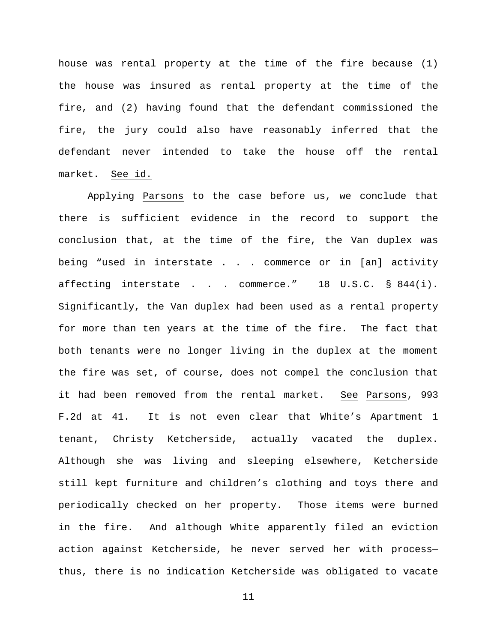house was rental property at the time of the fire because (1) the house was insured as rental property at the time of the fire, and (2) having found that the defendant commissioned the fire, the jury could also have reasonably inferred that the defendant never intended to take the house off the rental market. See id.

Applying Parsons to the case before us, we conclude that there is sufficient evidence in the record to support the conclusion that, at the time of the fire, the Van duplex was being "used in interstate . . . commerce or in [an] activity affecting interstate . . . commerce." 18 U.S.C. § 844(i). Significantly, the Van duplex had been used as a rental property for more than ten years at the time of the fire. The fact that both tenants were no longer living in the duplex at the moment the fire was set, of course, does not compel the conclusion that it had been removed from the rental market. See Parsons, 993 F.2d at 41. It is not even clear that White's Apartment 1 tenant, Christy Ketcherside, actually vacated the duplex. Although she was living and sleeping elsewhere, Ketcherside still kept furniture and children's clothing and toys there and periodically checked on her property. Those items were burned in the fire. And although White apparently filed an eviction action against Ketcherside, he never served her with process thus, there is no indication Ketcherside was obligated to vacate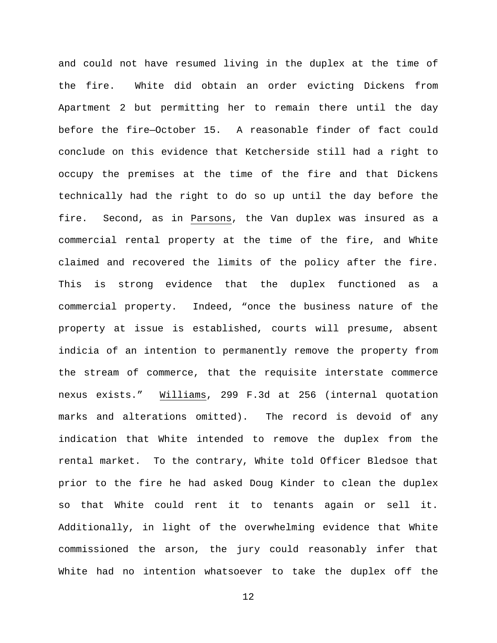and could not have resumed living in the duplex at the time of the fire. White did obtain an order evicting Dickens from Apartment 2 but permitting her to remain there until the day before the fire—October 15. A reasonable finder of fact could conclude on this evidence that Ketcherside still had a right to occupy the premises at the time of the fire and that Dickens technically had the right to do so up until the day before the fire. Second, as in Parsons, the Van duplex was insured as a commercial rental property at the time of the fire, and White claimed and recovered the limits of the policy after the fire. This is strong evidence that the duplex functioned as a commercial property. Indeed, "once the business nature of the property at issue is established, courts will presume, absent indicia of an intention to permanently remove the property from the stream of commerce, that the requisite interstate commerce nexus exists." Williams, 299 F.3d at 256 (internal quotation marks and alterations omitted). The record is devoid of any indication that White intended to remove the duplex from the rental market. To the contrary, White told Officer Bledsoe that prior to the fire he had asked Doug Kinder to clean the duplex so that White could rent it to tenants again or sell it. Additionally, in light of the overwhelming evidence that White commissioned the arson, the jury could reasonably infer that White had no intention whatsoever to take the duplex off the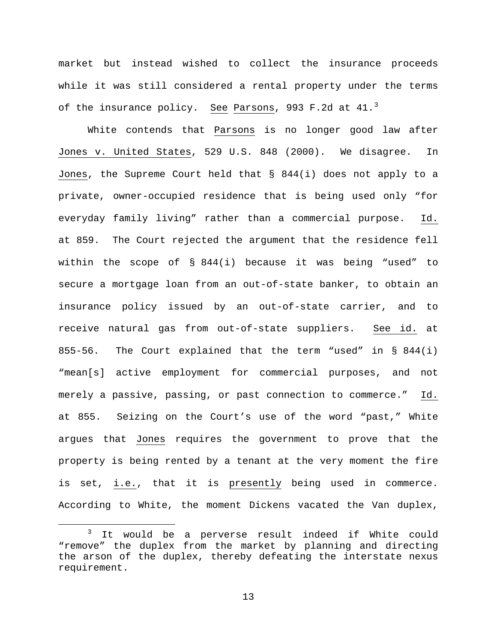market but instead wished to collect the insurance proceeds while it was still considered a rental property under the terms of the insurance policy. See Parsons, 99[3](#page-12-0) F.2d at 41.<sup>3</sup>

White contends that Parsons is no longer good law after Jones v. United States, 529 U.S. 848 (2000). We disagree. In Jones, the Supreme Court held that § 844(i) does not apply to a private, owner-occupied residence that is being used only "for everyday family living" rather than a commercial purpose. Id. at 859. The Court rejected the argument that the residence fell within the scope of § 844(i) because it was being "used" to secure a mortgage loan from an out-of-state banker, to obtain an insurance policy issued by an out-of-state carrier, and to receive natural gas from out-of-state suppliers. See id. at 855-56. The Court explained that the term "used" in § 844(i) "mean[s] active employment for commercial purposes, and not merely a passive, passing, or past connection to commerce." Id. at 855. Seizing on the Court's use of the word "past," White argues that Jones requires the government to prove that the property is being rented by a tenant at the very moment the fire is set, i.e., that it is presently being used in commerce. According to White, the moment Dickens vacated the Van duplex,

<span id="page-12-0"></span>It would be a perverse result indeed if White could "remove" the duplex from the market by planning and directing the arson of the duplex, thereby defeating the interstate nexus requirement.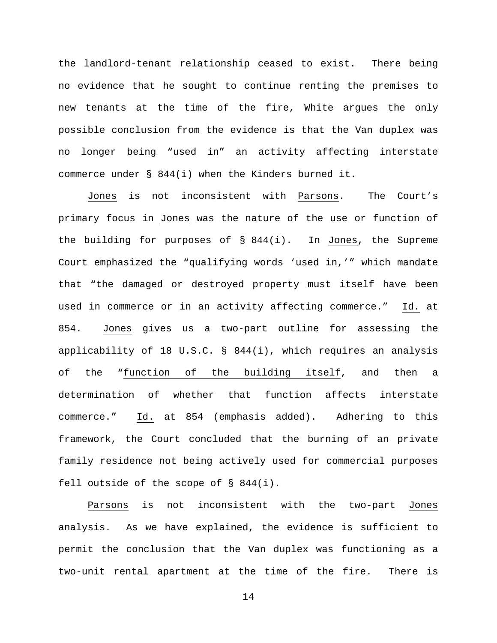the landlord-tenant relationship ceased to exist. There being no evidence that he sought to continue renting the premises to new tenants at the time of the fire, White argues the only possible conclusion from the evidence is that the Van duplex was no longer being "used in" an activity affecting interstate commerce under § 844(i) when the Kinders burned it.

Jones is not inconsistent with Parsons. The Court's primary focus in Jones was the nature of the use or function of the building for purposes of § 844(i). In Jones, the Supreme Court emphasized the "qualifying words 'used in,'" which mandate that "the damaged or destroyed property must itself have been used in commerce or in an activity affecting commerce." Id. at 854. Jones gives us a two-part outline for assessing the applicability of 18 U.S.C. § 844(i), which requires an analysis of the "function of the building itself, and then a determination of whether that function affects interstate commerce." Id. at 854 (emphasis added). Adhering to this framework, the Court concluded that the burning of an private family residence not being actively used for commercial purposes fell outside of the scope of § 844(i).

Parsons is not inconsistent with the two-part Jones analysis. As we have explained, the evidence is sufficient to permit the conclusion that the Van duplex was functioning as a two-unit rental apartment at the time of the fire. There is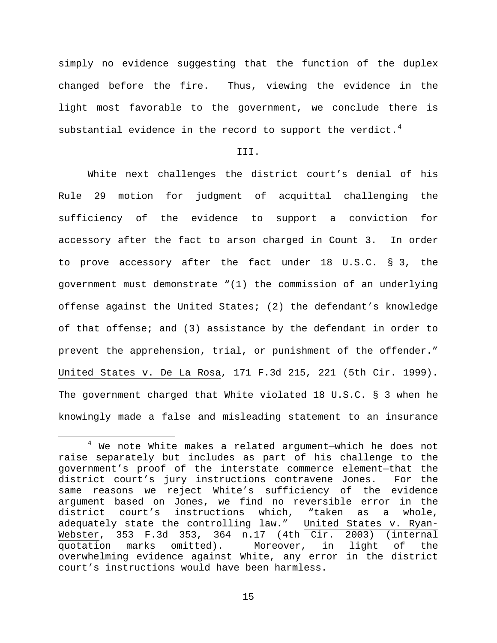simply no evidence suggesting that the function of the duplex changed before the fire. Thus, viewing the evidence in the light most favorable to the government, we conclude there is substantial evidence in the record to support the verdict. $^4$  $^4$ 

# III.

White next challenges the district court's denial of his Rule 29 motion for judgment of acquittal challenging the sufficiency of the evidence to support a conviction for accessory after the fact to arson charged in Count 3. In order to prove accessory after the fact under 18 U.S.C. § 3, the government must demonstrate "(1) the commission of an underlying offense against the United States; (2) the defendant's knowledge of that offense; and (3) assistance by the defendant in order to prevent the apprehension, trial, or punishment of the offender." United States v. De La Rosa, 171 F.3d 215, 221 (5th Cir. 1999). The government charged that White violated 18 U.S.C. § 3 when he knowingly made a false and misleading statement to an insurance

<span id="page-14-0"></span> <sup>4</sup> We note White makes a related argument—which he does not raise separately but includes as part of his challenge to the government's proof of the interstate commerce element—that the district court's jury instructions contravene Jones. For the same reasons we reject White's sufficiency of the evidence argument based on Jones, we find no reversible error in the<br>district court's instructions which, "taken as a whole, district court's instructions which, adequately state the controlling law." United States v. Ryan-Webster, 353 F.3d 353, 364 n.17 (4th Cir. 2003) (internal<br>quotation marks omitted). Moreover, in light of the quotation marks omitted). Moreover, in overwhelming evidence against White, any error in the district court's instructions would have been harmless.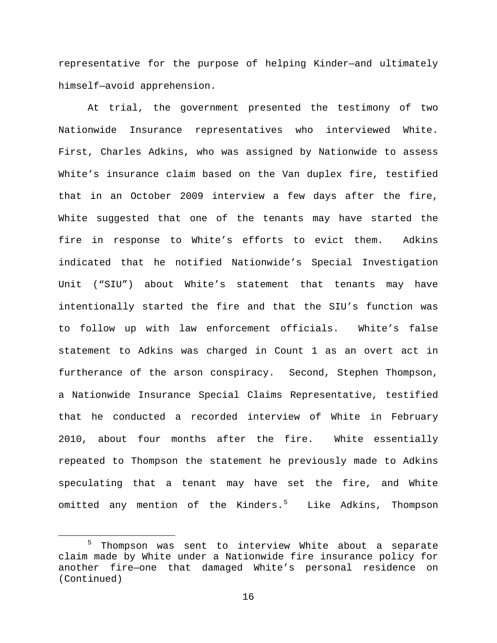representative for the purpose of helping Kinder—and ultimately himself—avoid apprehension.

At trial, the government presented the testimony of two Nationwide Insurance representatives who interviewed White. First, Charles Adkins, who was assigned by Nationwide to assess White's insurance claim based on the Van duplex fire, testified that in an October 2009 interview a few days after the fire, White suggested that one of the tenants may have started the fire in response to White's efforts to evict them. Adkins indicated that he notified Nationwide's Special Investigation Unit ("SIU") about White's statement that tenants may have intentionally started the fire and that the SIU's function was to follow up with law enforcement officials. White's false statement to Adkins was charged in Count 1 as an overt act in furtherance of the arson conspiracy. Second, Stephen Thompson, a Nationwide Insurance Special Claims Representative, testified that he conducted a recorded interview of White in February 2010, about four months after the fire. White essentially repeated to Thompson the statement he previously made to Adkins speculating that a tenant may have set the fire, and White omitted any mention of the Kinders.<sup>[5](#page-15-0)</sup> Like Adkins, Thompson

<span id="page-15-0"></span> <sup>5</sup> Thompson was sent to interview White about a separate claim made by White under a Nationwide fire insurance policy for another fire—one that damaged White's personal residence on (Continued)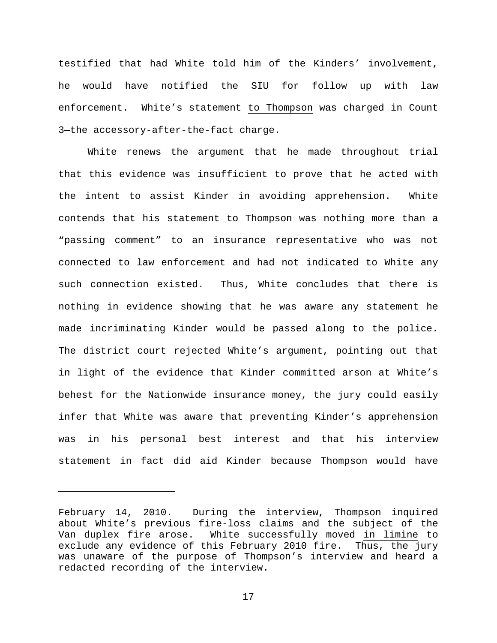testified that had White told him of the Kinders' involvement, he would have notified the SIU for follow up with law enforcement. White's statement to Thompson was charged in Count 3—the accessory-after-the-fact charge.

White renews the argument that he made throughout trial that this evidence was insufficient to prove that he acted with the intent to assist Kinder in avoiding apprehension. White contends that his statement to Thompson was nothing more than a "passing comment" to an insurance representative who was not connected to law enforcement and had not indicated to White any such connection existed. Thus, White concludes that there is nothing in evidence showing that he was aware any statement he made incriminating Kinder would be passed along to the police. The district court rejected White's argument, pointing out that in light of the evidence that Kinder committed arson at White's behest for the Nationwide insurance money, the jury could easily infer that White was aware that preventing Kinder's apprehension was in his personal best interest and that his interview statement in fact did aid Kinder because Thompson would have

ī

February 14, 2010. During the interview, Thompson inquired about White's previous fire-loss claims and the subject of the Van duplex fire arose. White successfully moved in limine to exclude any evidence of this February 2010 fire. Thus, the jury was unaware of the purpose of Thompson's interview and heard a redacted recording of the interview.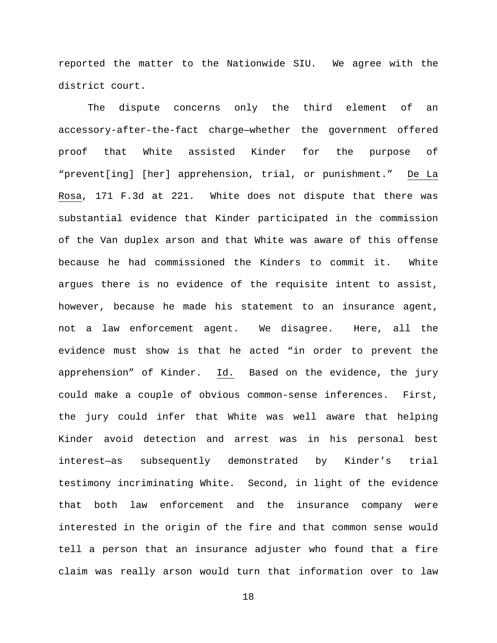reported the matter to the Nationwide SIU. We agree with the district court.

The dispute concerns only the third element of an accessory-after-the-fact charge—whether the government offered proof that White assisted Kinder for the purpose of "prevent[ing] [her] apprehension, trial, or punishment." De La Rosa, 171 F.3d at 221. White does not dispute that there was substantial evidence that Kinder participated in the commission of the Van duplex arson and that White was aware of this offense because he had commissioned the Kinders to commit it. White argues there is no evidence of the requisite intent to assist, however, because he made his statement to an insurance agent, not a law enforcement agent. We disagree. Here, all the evidence must show is that he acted "in order to prevent the apprehension" of Kinder. Id. Based on the evidence, the jury could make a couple of obvious common-sense inferences. First, the jury could infer that White was well aware that helping Kinder avoid detection and arrest was in his personal best interest—as subsequently demonstrated by Kinder's trial testimony incriminating White. Second, in light of the evidence that both law enforcement and the insurance company were interested in the origin of the fire and that common sense would tell a person that an insurance adjuster who found that a fire claim was really arson would turn that information over to law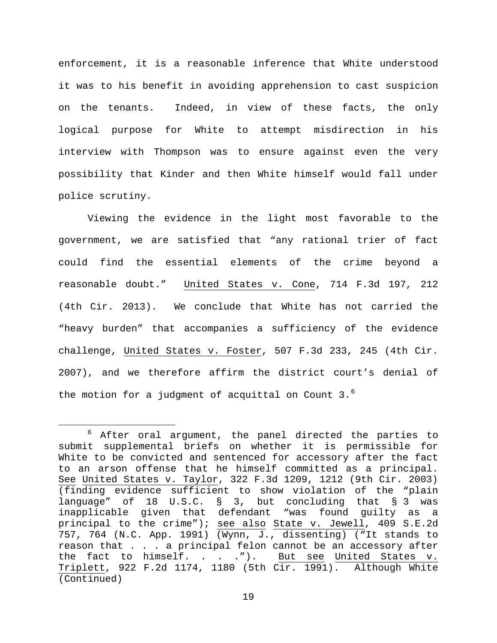enforcement, it is a reasonable inference that White understood it was to his benefit in avoiding apprehension to cast suspicion on the tenants. Indeed, in view of these facts, the only logical purpose for White to attempt misdirection in his interview with Thompson was to ensure against even the very possibility that Kinder and then White himself would fall under police scrutiny.

Viewing the evidence in the light most favorable to the government, we are satisfied that "any rational trier of fact could find the essential elements of the crime beyond a reasonable doubt." United States v. Cone, 714 F.3d 197, 212 (4th Cir. 2013). We conclude that White has not carried the "heavy burden" that accompanies a sufficiency of the evidence challenge, United States v. Foster, 507 F.3d 233, 245 (4th Cir. 2007), and we therefore affirm the district court's denial of the motion for a judgment of acquittal on Count  $3.^6$  $3.^6$ 

<span id="page-18-0"></span> <sup>6</sup> After oral argument, the panel directed the parties to submit supplemental briefs on whether it is permissible for White to be convicted and sentenced for accessory after the fact to an arson offense that he himself committed as a principal. See United States v. Taylor, 322 F.3d 1209, 1212 (9th Cir. 2003) (finding evidence sufficient to show violation of the "plain language" of 18 U.S.C. § 3, but concluding that § 3 was inapplicable given that defendant "was found guilty as a principal to the crime"); see also State v. Jewell, 409 S.E.2d 757, 764 (N.C. App. 1991) (Wynn, J., dissenting) ("It stands to reason that . . . a principal felon cannot be an accessory after<br>the fact to himself. . . . ."). But see United States v. But see United States v. Triplett, 922 F.2d 1174, 1180 (5th Cir. 1991). Although White (Continued)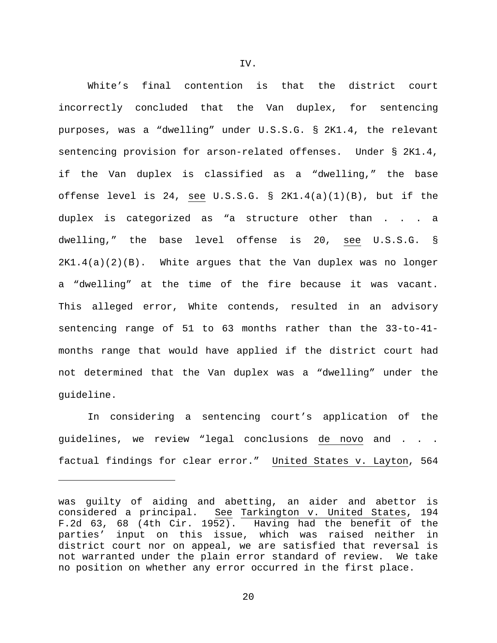White's final contention is that the district court incorrectly concluded that the Van duplex, for sentencing purposes, was a "dwelling" under U.S.S.G. § 2K1.4, the relevant sentencing provision for arson-related offenses. Under § 2K1.4, if the Van duplex is classified as a "dwelling," the base offense level is 24, see U.S.S.G. § 2K1.4(a)(1)(B), but if the duplex is categorized as "a structure other than . . . a dwelling," the base level offense is 20, see U.S.S.G. §  $2K1.4(a)(2)(B)$ . White argues that the Van duplex was no longer a "dwelling" at the time of the fire because it was vacant. This alleged error, White contends, resulted in an advisory sentencing range of 51 to 63 months rather than the 33-to-41 months range that would have applied if the district court had not determined that the Van duplex was a "dwelling" under the guideline.

In considering a sentencing court's application of the guidelines, we review "legal conclusions de novo and . . . factual findings for clear error." United States v. Layton, 564

Ĩ.

was guilty of aiding and abetting, an aider and abettor is considered a principal. See Tarkington v. United States, 194 F.2d 63, 68 (4th Cir. 1952). Having had the benefit of the parties' input on this issue, which was raised neither in district court nor on appeal, we are satisfied that reversal is not warranted under the plain error standard of review. We take no position on whether any error occurred in the first place.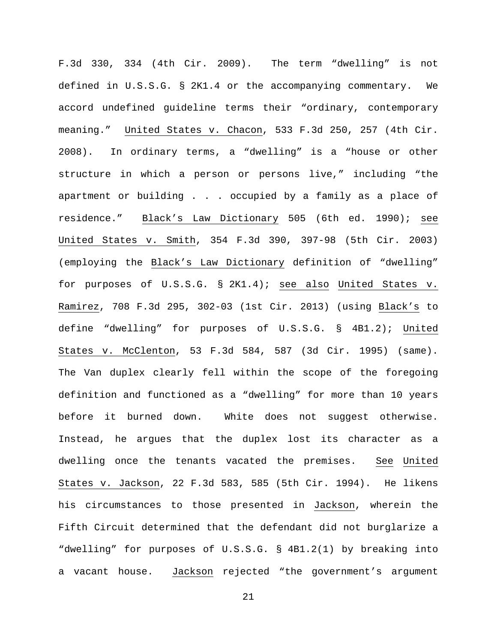F.3d 330, 334 (4th Cir. 2009). The term "dwelling" is not defined in U.S.S.G. § 2K1.4 or the accompanying commentary. We accord undefined guideline terms their "ordinary, contemporary meaning." United States v. Chacon, 533 F.3d 250, 257 (4th Cir. 2008). In ordinary terms, a "dwelling" is a "house or other structure in which a person or persons live," including "the apartment or building . . . occupied by a family as a place of residence." Black's Law Dictionary 505 (6th ed. 1990); see United States v. Smith, 354 F.3d 390, 397-98 (5th Cir. 2003) (employing the Black's Law Dictionary definition of "dwelling" for purposes of U.S.S.G. § 2K1.4); see also United States v. Ramirez, 708 F.3d 295, 302-03 (1st Cir. 2013) (using Black's to define "dwelling" for purposes of U.S.S.G. § 4B1.2); United States v. McClenton, 53 F.3d 584, 587 (3d Cir. 1995) (same). The Van duplex clearly fell within the scope of the foregoing definition and functioned as a "dwelling" for more than 10 years before it burned down. White does not suggest otherwise. Instead, he argues that the duplex lost its character as a dwelling once the tenants vacated the premises. See United States v. Jackson, 22 F.3d 583, 585 (5th Cir. 1994). He likens his circumstances to those presented in Jackson, wherein the Fifth Circuit determined that the defendant did not burglarize a "dwelling" for purposes of U.S.S.G. § 4B1.2(1) by breaking into a vacant house. Jackson rejected "the government's argument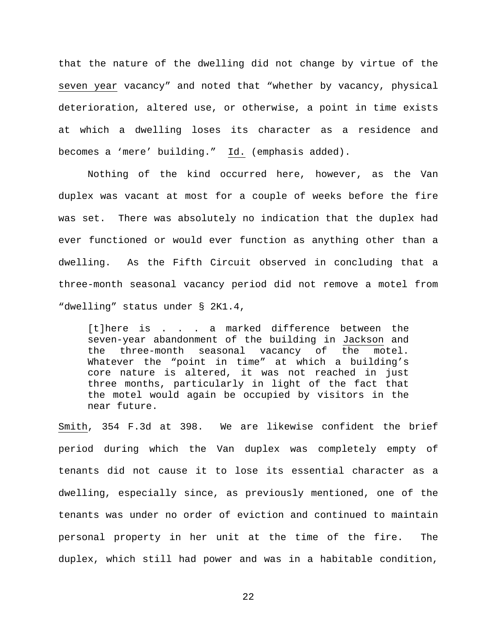that the nature of the dwelling did not change by virtue of the seven year vacancy" and noted that "whether by vacancy, physical deterioration, altered use, or otherwise, a point in time exists at which a dwelling loses its character as a residence and becomes a 'mere' building." Id. (emphasis added).

Nothing of the kind occurred here, however, as the Van duplex was vacant at most for a couple of weeks before the fire was set. There was absolutely no indication that the duplex had ever functioned or would ever function as anything other than a dwelling. As the Fifth Circuit observed in concluding that a three-month seasonal vacancy period did not remove a motel from "dwelling" status under § 2K1.4,

[t]here is . . . a marked difference between the seven-year abandonment of the building in Jackson and<br>the three-month seasonal vacancy of the motel. the three-month seasonal vacancy of the Whatever the "point in time" at which a building's core nature is altered, it was not reached in just three months, particularly in light of the fact that the motel would again be occupied by visitors in the near future.

Smith, 354 F.3d at 398. We are likewise confident the brief period during which the Van duplex was completely empty of tenants did not cause it to lose its essential character as a dwelling, especially since, as previously mentioned, one of the tenants was under no order of eviction and continued to maintain personal property in her unit at the time of the fire. The duplex, which still had power and was in a habitable condition,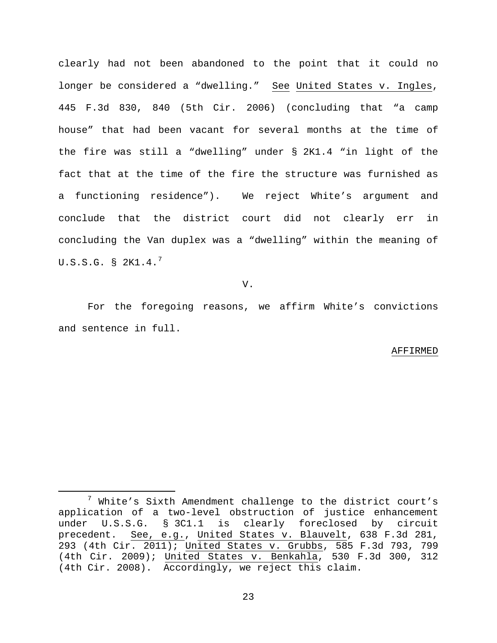clearly had not been abandoned to the point that it could no longer be considered a "dwelling." See United States v. Ingles, 445 F.3d 830, 840 (5th Cir. 2006) (concluding that "a camp house" that had been vacant for several months at the time of the fire was still a "dwelling" under § 2K1.4 "in light of the fact that at the time of the fire the structure was furnished as a functioning residence"). We reject White's argument and conclude that the district court did not clearly err in concluding the Van duplex was a "dwelling" within the meaning of U.S.S.G.  $\S$  2K1.4. $^7$  $^7$ 

V.

For the foregoing reasons, we affirm White's convictions and sentence in full.

#### AFFIRMED

<span id="page-22-0"></span> <sup>7</sup> White's Sixth Amendment challenge to the district court's application of a two-level obstruction of justice enhancement under U.S.S.G. § 3C1.1 is clearly foreclosed by circuit precedent. See, e.g., United States v. Blauvelt, 638 F.3d 281, 293 (4th Cir. 2011); United States v. Grubbs, 585 F.3d 793, 799 (4th Cir. 2009); United States v. Benkahla, 530 F.3d 300, 312 (4th Cir. 2008). Accordingly, we reject this claim.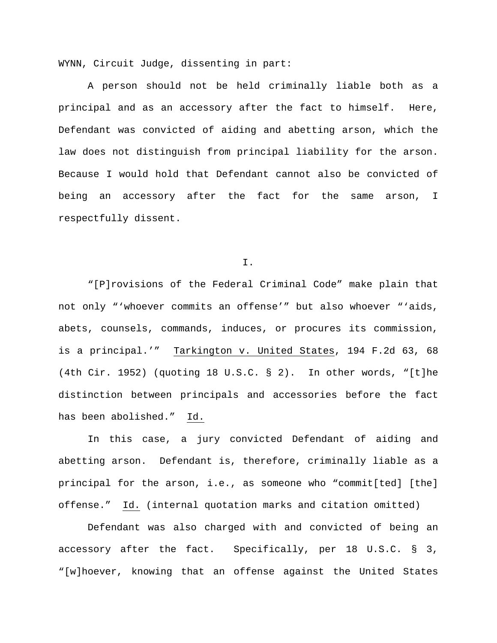WYNN, Circuit Judge, dissenting in part:

A person should not be held criminally liable both as a principal and as an accessory after the fact to himself. Here, Defendant was convicted of aiding and abetting arson, which the law does not distinguish from principal liability for the arson. Because I would hold that Defendant cannot also be convicted of being an accessory after the fact for the same arson, I respectfully dissent.

I.

"[P]rovisions of the Federal Criminal Code" make plain that not only "'whoever commits an offense'" but also whoever "'aids, abets, counsels, commands, induces, or procures its commission, is a principal.'" Tarkington v. United States, 194 F.2d 63, 68 (4th Cir. 1952) (quoting 18 U.S.C. § 2). In other words, "[t]he distinction between principals and accessories before the fact has been abolished." Id.

In this case, a jury convicted Defendant of aiding and abetting arson. Defendant is, therefore, criminally liable as a principal for the arson, i.e., as someone who "commit[ted] [the] offense." Id. (internal quotation marks and citation omitted)

Defendant was also charged with and convicted of being an accessory after the fact. Specifically, per 18 U.S.C. § 3, "[w]hoever, knowing that an offense against the United States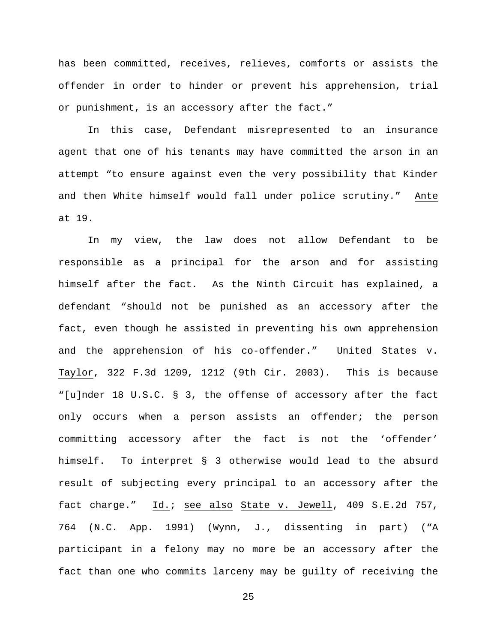has been committed, receives, relieves, comforts or assists the offender in order to hinder or prevent his apprehension, trial or punishment, is an accessory after the fact."

In this case, Defendant misrepresented to an insurance agent that one of his tenants may have committed the arson in an attempt "to ensure against even the very possibility that Kinder and then White himself would fall under police scrutiny." Ante at 19.

In my view, the law does not allow Defendant to be responsible as a principal for the arson and for assisting himself after the fact. As the Ninth Circuit has explained, a defendant "should not be punished as an accessory after the fact, even though he assisted in preventing his own apprehension and the apprehension of his co-offender." United States v. Taylor, 322 F.3d 1209, 1212 (9th Cir. 2003). This is because "[u]nder 18 U.S.C. § 3, the offense of accessory after the fact only occurs when a person assists an offender; the person committing accessory after the fact is not the 'offender' himself. To interpret § 3 otherwise would lead to the absurd result of subjecting every principal to an accessory after the fact charge." Id.; see also State v. Jewell, 409 S.E.2d 757, 764 (N.C. App. 1991) (Wynn, J., dissenting in part) ("A participant in a felony may no more be an accessory after the fact than one who commits larceny may be guilty of receiving the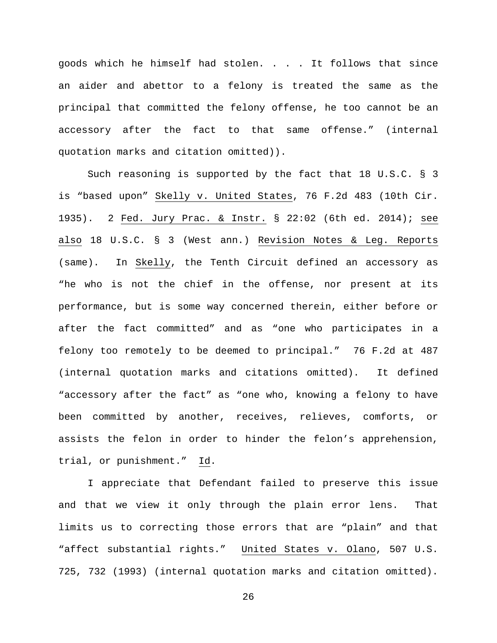goods which he himself had stolen. . . . It follows that since an aider and abettor to a felony is treated the same as the principal that committed the felony offense, he too cannot be an accessory after the fact to that same offense." (internal quotation marks and citation omitted)).

Such reasoning is supported by the fact that 18 U.S.C. § 3 is "based upon" Skelly v. United States, 76 F.2d 483 (10th Cir. 1935). 2 Fed. Jury Prac. & Instr. § 22:02 (6th ed. 2014); see also 18 U.S.C. § 3 (West ann.) Revision Notes & Leg. Reports (same). In Skelly, the Tenth Circuit defined an accessory as "he who is not the chief in the offense, nor present at its performance, but is some way concerned therein, either before or after the fact committed" and as "one who participates in a felony too remotely to be deemed to principal." 76 F.2d at 487 (internal quotation marks and citations omitted). It defined "accessory after the fact" as "one who, knowing a felony to have been committed by another, receives, relieves, comforts, or assists the felon in order to hinder the felon's apprehension, trial, or punishment." Id.

I appreciate that Defendant failed to preserve this issue and that we view it only through the plain error lens. That limits us to correcting those errors that are "plain" and that "affect substantial rights." United States v. Olano, 507 U.S. 725, 732 (1993) (internal quotation marks and citation omitted).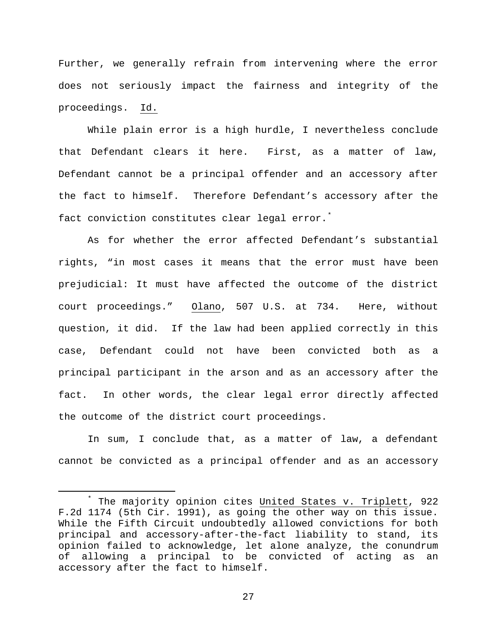Further, we generally refrain from intervening where the error does not seriously impact the fairness and integrity of the proceedings. Id.

While plain error is a high hurdle, I nevertheless conclude that Defendant clears it here. First, as a matter of law, Defendant cannot be a principal offender and an accessory after the fact to himself. Therefore Defendant's accessory after the fact conviction constitutes clear legal error.<sup>[\\*](#page-26-0)</sup>

As for whether the error affected Defendant's substantial rights, "in most cases it means that the error must have been prejudicial: It must have affected the outcome of the district court proceedings." Olano, 507 U.S. at 734. Here, without question, it did. If the law had been applied correctly in this case, Defendant could not have been convicted both as a principal participant in the arson and as an accessory after the fact. In other words, the clear legal error directly affected the outcome of the district court proceedings.

In sum, I conclude that, as a matter of law, a defendant cannot be convicted as a principal offender and as an accessory

<span id="page-26-0"></span>The majority opinion cites United States v. Triplett, 922 F.2d 1174 (5th Cir. 1991), as going the other way on this issue. While the Fifth Circuit undoubtedly allowed convictions for both principal and accessory-after-the-fact liability to stand, its opinion failed to acknowledge, let alone analyze, the conundrum of allowing a principal to be convicted of acting as an accessory after the fact to himself.